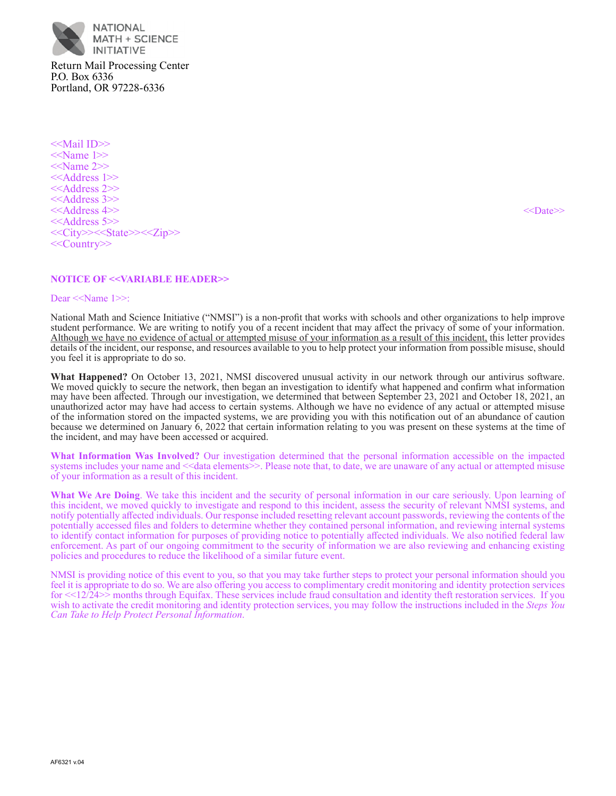

Return Mail Processing Center P.O. Box 6336 Portland, OR 97228-6336

<<Mail ID>> <<Name 1>> <<Name 2>> <<Address 1>> <<Address 2>> <<Address 3>> <<Address 4>> <<Date>> <<Address 5>> <<City>><<State>><<Zip>> <<Country>>

# **NOTICE OF <<VARIABLE HEADER>>**

#### Dear <<Name 1>>:

National Math and Science Initiative ("NMSI") is a non-profit that works with schools and other organizations to help improve student performance. We are writing to notify you of a recent incident that may affect the privacy of some of your information. Although we have no evidence of actual or attempted misuse of your information as a result of this incident, this letter provides details of the incident, our response, and resources available to you to help protect your information from possible misuse, should you feel it is appropriate to do so.

**What Happened?** On October 13, 2021, NMSI discovered unusual activity in our network through our antivirus software. We moved quickly to secure the network, then began an investigation to identify what happened and confirm what information may have been affected. Through our investigation, we determined that between September 23, 2021 and October 18, 2021, an unauthorized actor may have had access to certain systems. Although we have no evidence of any actual or attempted misuse of the information stored on the impacted systems, we are providing you with this notification out of an abundance of caution because we determined on January 6, 2022 that certain information relating to you was present on these systems at the time of the incident, and may have been accessed or acquired.

**What Information Was Involved?** Our investigation determined that the personal information accessible on the impacted systems includes your name and  $\leq$  data elements  $\geq$ . Please note that, to date, we are unaware of any actual or attempted misuse of your information as a result of this incident.

**What We Are Doing**. We take this incident and the security of personal information in our care seriously. Upon learning of this incident, we moved quickly to investigate and respond to this incident, assess the security of relevant NMSI systems, and notify potentially affected individuals. Our response included resetting relevant account passwords, reviewing the contents of the potentially accessed files and folders to determine whether they contained personal information, and reviewing internal systems to identify contact information for purposes of providing notice to potentially affected individuals. We also notified federal law enforcement. As part of our ongoing commitment to the security of information we are also reviewing and enhancing existing policies and procedures to reduce the likelihood of a similar future event.

NMSI is providing notice of this event to you, so that you may take further steps to protect your personal information should you feel it is appropriate to do so. We are also offering you access to complimentary credit monitoring and identity protection services for  $\leq$ 12/24>> months through Equifax. These services include fraud consultation and identity theft restoration services. If you wish to activate the credit monitoring and identity protection services, you may follow the instructions included in the *Steps You Can Take to Help Protect Personal Information*.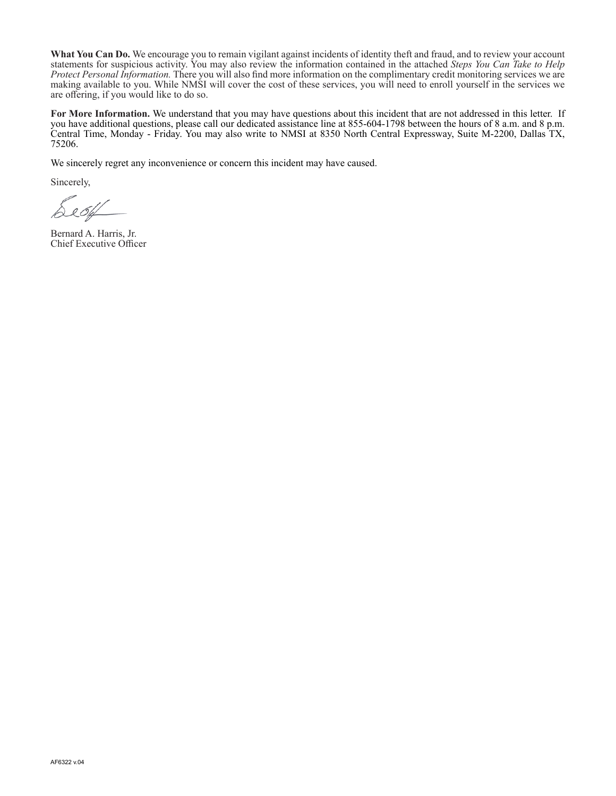**What You Can Do.** We encourage you to remain vigilant against incidents of identity theft and fraud, and to review your account statements for suspicious activity. You may also review the information contained in the attached *Steps You Can Take to Help Protect Personal Information.* There you will also find more information on the complimentary credit monitoring services we are making available to you. While NMSI will cover the cost of these services, you will need to enroll yourself in the services we are offering, if you would like to do so.

**For More Information.** We understand that you may have questions about this incident that are not addressed in this letter. If you have additional questions, please call our dedicated assistance line at 855–604–1798 between the hours of 8 a.m. and 8 p.m. Central Time, Monday ‑ Friday. You may also write to NMSI at 8350 North Central Expressway, Suite M‑2200, Dallas TX, 75206.

We sincerely regret any inconvenience or concern this incident may have caused.

Sincerely,

De 64

Bernard A. Harris, Jr. Chief Executive Officer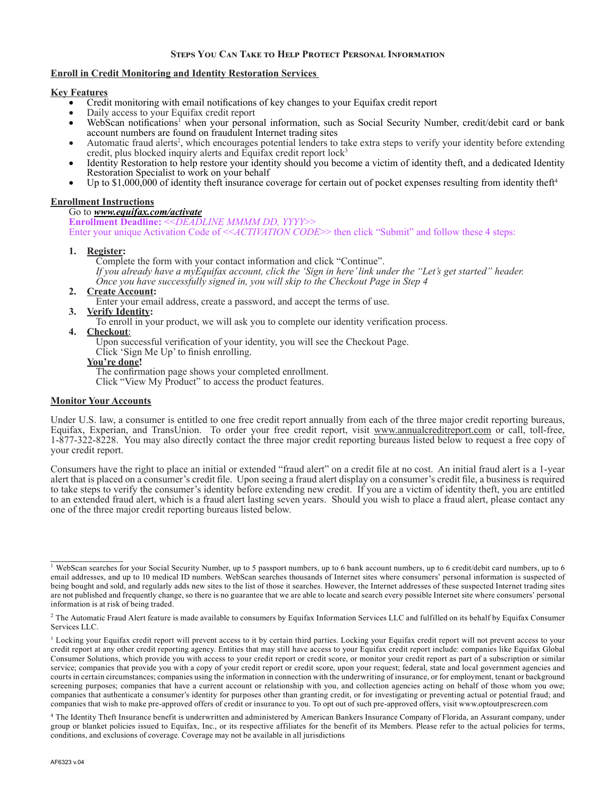# **Steps You Can Take to Help Protect Personal Information**

# **Enroll in Credit Monitoring and Identity Restoration Services**

## **Key Features**

- • Credit monitoring with email notifications of key changes to your Equifax credit report
- Daily access to your Equifax credit report
- WebScan notifications<sup>1</sup> when your personal information, such as Social Security Number, credit/debit card or bank account numbers are found on fraudulent Internet trading sites
- Automatic fraud alerts<sup>2</sup>, which encourages potential lenders to take extra steps to verify your identity before extending credit, plus blocked inquiry alerts and Equifax credit report lock<sup>3</sup>
- Identity Restoration to help restore your identity should you become a victim of identity theft, and a dedicated Identity Restoration Specialist to work on your behalf
- Up to  $$1,000,000$  of identity theft insurance coverage for certain out of pocket expenses resulting from identity theft<sup>4</sup>

## **Enrollment Instructions**

#### Go to *www.equifax.com/activate*

**Enrollment Deadline:** <<*DEADLINE MMMM DD, YYYY*>> Enter your unique Activation Code of <<*ACTIVATION CODE*>> then click "Submit" and follow these 4 steps:

## **1. Register:**

Complete the form with your contact information and click "Continue". *If you already have a myEquifax account, click the 'Sign in here' link under the "Let's get started" header. Once you have successfully signed in, you will skip to the Checkout Page in Step 4*

# **2. Create Account:**

Enter your email address, create a password, and accept the terms of use.

## **3. Verify Identity:**

To enroll in your product, we will ask you to complete our identity verification process.

## **4. Checkout**:

Upon successful verification of your identity, you will see the Checkout Page.

Click 'Sign Me Up' to finish enrolling.

## **You're done!**

The confirmation page shows your completed enrollment.

Click "View My Product" to access the product features.

# **Monitor Your Accounts**

Under U.S. law, a consumer is entitled to one free credit report annually from each of the three major credit reporting bureaus, Equifax, Experian, and TransUnion. To order your free credit report, visit www.annualcreditreport.com or call, toll-free, 1‑877‑322‑8228. You may also directly contact the three major credit reporting bureaus listed below to request a free copy of your credit report.

Consumers have the right to place an initial or extended "fraud alert" on a credit file at no cost. An initial fraud alert is a 1‑year alert that is placed on a consumer's credit file. Upon seeing a fraud alert display on a consumer's credit file, a business is required to take steps to verify the consumer's identity before extending new credit. If you are a victim of identity theft, you are entitled to an extended fraud alert, which is a fraud alert lasting seven years. Should you wish to place a fraud alert, please contact any one of the three major credit reporting bureaus listed below.

<sup>&</sup>lt;sup>1</sup> WebScan searches for your Social Security Number, up to 5 passport numbers, up to 6 bank account numbers, up to 6 credit/debit card numbers, up to 6 email addresses, and up to 10 medical ID numbers. WebScan searches thousands of Internet sites where consumers' personal information is suspected of being bought and sold, and regularly adds new sites to the list of those it searches. However, the Internet addresses of these suspected Internet trading sites are not published and frequently change, so there is no guarantee that we are able to locate and search every possible Internet site where consumers' personal information is at risk of being traded.

<sup>&</sup>lt;sup>2</sup> The Automatic Fraud Alert feature is made available to consumers by Equifax Information Services LLC and fulfilled on its behalf by Equifax Consumer Services LLC.

<sup>&</sup>lt;sup>3</sup> Locking your Equifax credit report will prevent access to it by certain third parties. Locking your Equifax credit report will not prevent access to your credit report at any other credit reporting agency. Entities that may still have access to your Equifax credit report include: companies like Equifax Global Consumer Solutions, which provide you with access to your credit report or credit score, or monitor your credit report as part of a subscription or similar service; companies that provide you with a copy of your credit report or credit score, upon your request; federal, state and local government agencies and courts in certain circumstances; companies using the information in connection with the underwriting of insurance, or for employment, tenant or background screening purposes; companies that have a current account or relationship with you, and collection agencies acting on behalf of those whom you owe; companies that authenticate a consumer's identity for purposes other than granting credit, or for investigating or preventing actual or potential fraud; and companies that wish to make pre‑approved offers of credit or insurance to you. To opt out of such pre‑approved offers, visit www.optoutprescreen.com

<sup>4</sup> The Identity Theft Insurance benefit is underwritten and administered by American Bankers Insurance Company of Florida, an Assurant company, under group or blanket policies issued to Equifax, Inc., or its respective affiliates for the benefit of its Members. Please refer to the actual policies for terms, conditions, and exclusions of coverage. Coverage may not be available in all jurisdictions